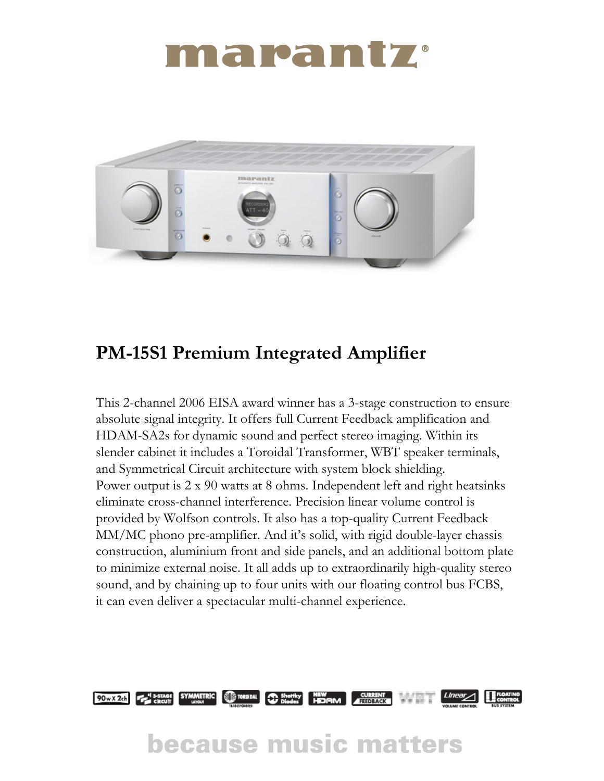## marantz



### PM-15S1 Premium Integrated Amplifier

This 2-channel 2006 EISA award winner has a 3-stage construction to ensure absolute signal integrity. It offers full Current Feedback amplification and HDAM-SA2s for dynamic sound and perfect stereo imaging. Within its slender cabinet it includes a Toroidal Transformer, WBT speaker terminals, and Symmetrical Circuit architecture with system block shielding. Power output is 2 x 90 watts at 8 ohms. Independent left and right heatsinks eliminate cross-channel interference. Precision linear volume control is provided by Wolfson controls. It also has a top-quality Current Feedback MM/MC phono pre-amplifier. And it's solid, with rigid double-layer chassis construction, aluminium front and side panels, and an additional bottom plate to minimize external noise. It all adds up to extraordinarily high-quality stereo sound, and by chaining up to four units with our floating control bus FCBS, it can even deliver a spectacular multi-channel experience.



## **because music matters**